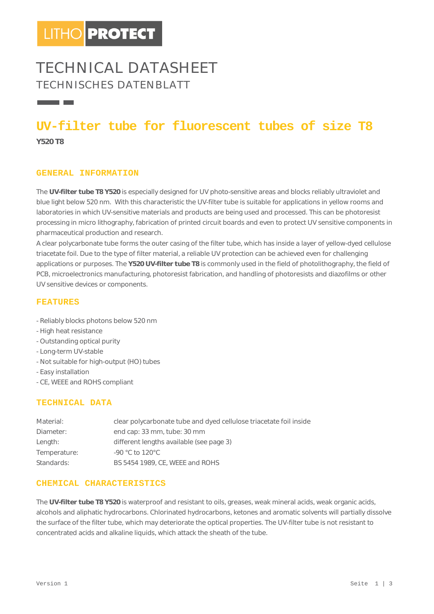# **TECHNICAL DATASHEET TECHNISCHES DATENBLATT**

# **UV-filter tube for fluorescent tubes of size T8**

**Y520 T8** 

**The Contract Contract** 

#### **GENERAL INFORMATION**

The **UV-filter tube T8 Y520** is especially designed for UV photo-sensitive areas and blocks reliably ultraviolet and blue light below 520 nm. With this characteristic the UV-filter tube is suitable for applications in yellow rooms and laboratories in which UV-sensitive materials and products are being used and processed. This can be photoresist processing in micro lithography, fabrication of printed circuit boards and even to protect UV sensitive components in pharmaceutical production and research.

A clear polycarbonate tube forms the outer casing of the filter tube, which has inside a layer of yellow-dyed cellulose triacetate foil. Due to the type of filter material, a reliable UV protection can be achieved even for challenging applications or purposes. The **Y520 UV-filter tube T8** is commonly used in the field of photolithography, the field of PCB, microelectronics manufacturing, photoresist fabrication, and handling of photoresists and diazofilms or other UV sensitive devices or components.

#### **FEATURES**

- Reliably blocks photons below 520 nm
- High heat resistance
- Outstanding optical purity
- Long-term UV-stable
- Not suitable for high-output (HO) tubes
- Easy installation
- CE, WEEE and ROHS compliant

### **TECHNICAL DATA**

| Material:    | clear polycarbonate tube and dyed cellulose triacetate foil inside |  |  |
|--------------|--------------------------------------------------------------------|--|--|
| Diameter:    | end cap: 33 mm, tube: 30 mm                                        |  |  |
| Length:      | different lengths available (see page 3)                           |  |  |
| Temperature: | $-90$ °C to 120°C                                                  |  |  |
| Standards:   | BS 5454 1989, CE, WEEE and ROHS                                    |  |  |

#### **CHEMICAL CHARACTERISTICS**

The **UV-filter tube T8 Y520** is waterproof and resistant to oils, greases, weak mineral acids, weak organic acids, alcohols and aliphatic hydrocarbons. Chlorinated hydrocarbons, ketones and aromatic solvents will partially dissolve the surface of the filter tube, which may deteriorate the optical properties. The UV-filter tube is not resistant to concentrated acids and alkaline liquids, which attack the sheath of the tube.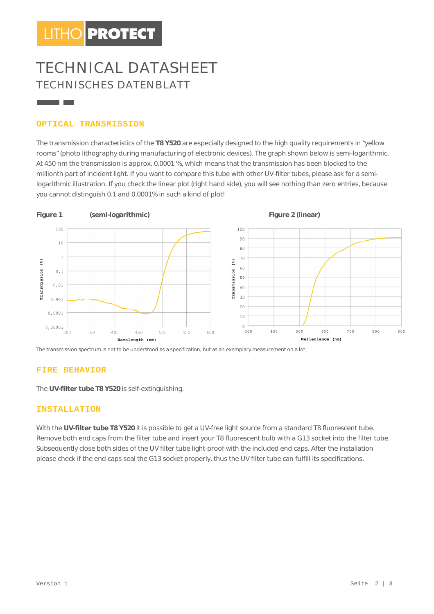# **TECHNICAL DATASHEET CAL TECHNISCHES DATENBLATT ISCHES**

## **OPTICAL TRANSMISSION**

and the con-

The transmission characteristics of the T8 Y520 are especially designed to the high quality requirements in "yellow The transmission characteristics of the T8 Y520 are especially designed to the high quality requirements in "yellow<br>rooms" (photo lithography during manufacturing of electronic devices). The graph shown below is semi-logar At 450 nm the transmission is approx. 0.0001 %, which means that the transmission has been blocked to the At 450 nm the transmission is approx. 0.0001 %, which means that the transmission has been blocked to the<br>millionth part of incident light. If you want to compare this tube with other UV-filter tubes, please ask for a semi logarithmic illustration. If you check the linear plot (right hand side), you will see nothing than zero entries, because<br>you cannot distinguish 0.1 and 0.0001% in such a kind of plot! you cannot distinguish 0.1 and 0.0001% in such a kind of plot!



The transmission spectrum is not to be understood as a specification, but as an exemplary measurement on a lot.

### **FIRE BEHAVIOR**

The **UV-filter tube T8 Y520** is self-extinguishing.

#### **INSTALLATION**

The UV-filter tube T8 Y520 is self-extinguishing.<br>**INSTALLATION**<br>With the UV-filter tube T8 Y520 it is possible to get a UV-free light source from a standard T8 fluorescent tube. Remove both end caps from the filter tube and insert your T8 fluorescent bulb with a G13 socket into the filter tube. Subsequently close both sides of the UV filter tube light-proof with the included end caps. After the installation Subsequently close both sides of the UV filter tube light-proof with the included end caps. After the installation<br>please check if the end caps seal the G13 socket properly, thus the UV filter tube can fulfill its specific